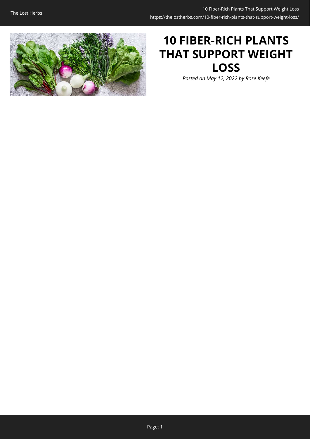

# **10 FIBER-RICH PLANTS THAT SUPPORT WEIGHT LOSS**

*Posted on May 12, 2022 by Rose Keefe*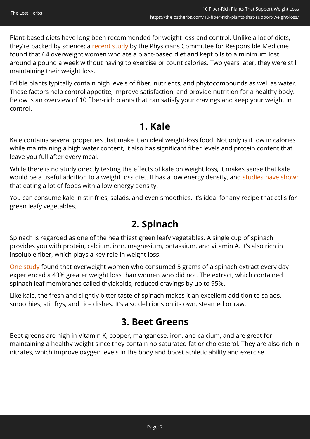Plant-based diets have long been recommended for weight loss and control. Unlike a lot of diets, they're backed by science: a [recent study](https://www.pcrm.org/health-topics/weight-loss) by the Physicians Committee for Responsible Medicine found that 64 overweight women who ate a plant-based diet and kept oils to a minimum lost around a pound a week without having to exercise or count calories. Two years later, they were still maintaining their weight loss.

Edible plants typically contain high levels of fiber, nutrients, and phytocompounds as well as water. These factors help control appetite, improve satisfaction, and provide nutrition for a healthy body. Below is an overview of 10 fiber-rich plants that can satisfy your cravings and keep your weight in control.

### **1. Kale**

Kale contains several properties that make it an ideal weight-loss food. Not only is it low in calories while maintaining a high water content, it also has significant fiber levels and protein content that leave you full after every meal.

While there is no study directly testing the effects of kale on weight loss, it makes sense that kale would be a useful addition to a weight loss diet. It has a low energy density, and [studies have shown](https://pubmed.ncbi.nlm.nih.gov/15976148/) that eating a lot of foods with a low energy density.

You can consume kale in stir-fries, salads, and even smoothies. It's ideal for any recipe that calls for green leafy vegetables.

## **2. Spinach**

Spinach is regarded as one of the healthiest green leafy vegetables. A single cup of spinach provides you with protein, calcium, iron, magnesium, potassium, and vitamin A. It's also rich in insoluble fiber, which plays a key role in weight loss.

[One study](https://www.sciencedaily.com/releases/2014/09/140902114928.htm) found that overweight women who consumed 5 grams of a spinach extract every day experienced a 43% greater weight loss than women who did not. The extract, which contained spinach leaf membranes called thylakoids, reduced cravings by up to 95%.

Like kale, the fresh and slightly bitter taste of spinach makes it an excellent addition to salads, smoothies, stir frys, and rice dishes. It's also delicious on its own, steamed or raw.

## **3. Beet Greens**

Beet greens are high in Vitamin K, copper, manganese, iron, and calcium, and are great for maintaining a healthy weight since they contain no saturated fat or cholesterol. They are also rich in nitrates, which improve oxygen levels in the body and boost athletic ability and exercise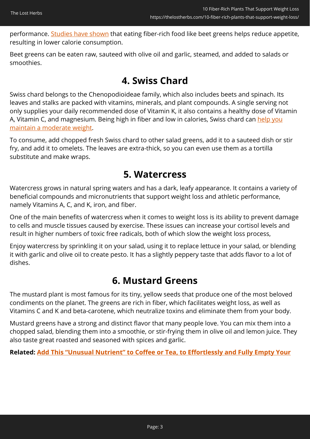performance. [Studies have shown](https://academic.oup.com/nutritionreviews/article/59/5/129/1875096) that eating fiber-rich food like beet greens helps reduce appetite, resulting in lower calorie consumption.

Beet greens can be eaten raw, sauteed with olive oil and garlic, steamed, and added to salads or smoothies.

### **4. Swiss Chard**

Swiss chard belongs to the Chenopodioideae family, which also includes beets and spinach. Its leaves and stalks are packed with vitamins, minerals, and plant compounds. A single serving not only supplies your daily recommended dose of Vitamin K, it also contains a healthy dose of Vitamin A, Vitamin C, and magnesium. Being high in fiber and low in calories, Swiss chard can [help you](https://pubmed.ncbi.nlm.nih.gov/31174214/) [maintain a moderate weight.](https://pubmed.ncbi.nlm.nih.gov/31174214/)

To consume, add chopped fresh Swiss chard to other salad greens, add it to a sauteed dish or stir fry, and add it to omelets. The leaves are extra-thick, so you can even use them as a tortilla substitute and make wraps.

### **5. Watercress**

Watercress grows in natural spring waters and has a dark, leafy appearance. It contains a variety of beneficial compounds and micronutrients that support weight loss and athletic performance, namely Vitamins A, C, and K, iron, and fiber.

One of the main benefits of watercress when it comes to weight loss is its ability to prevent damage to cells and muscle tissues caused by exercise. These issues can increase your cortisol levels and result in higher numbers of toxic free radicals, both of which slow the weight loss process,

Enjoy watercress by sprinkling it on your salad, using it to replace lettuce in your salad, or blending it with garlic and olive oil to create pesto. It has a slightly peppery taste that adds flavor to a lot of dishes.

### **6. Mustard Greens**

The mustard plant is most famous for its tiny, yellow seeds that produce one of the most beloved condiments on the planet. The greens are rich in fiber, which facilitates weight loss, as well as Vitamins C and K and beta-carotene, which neutralize toxins and eliminate them from your body.

Mustard greens have a strong and distinct flavor that many people love. You can mix them into a chopped salad, blending them into a smoothie, or stir-frying them in olive oil and lemon juice. They also taste great roasted and seasoned with spices and garlic.

**Related: [Add This "Unusual Nutrient" to Coffee or Tea, to Effortlessly and Fully Empty Your](https://hop.clickbank.net/?affiliate=lostherbs&vendor=peakbiome&tid=C02FiberPlantsPBB)**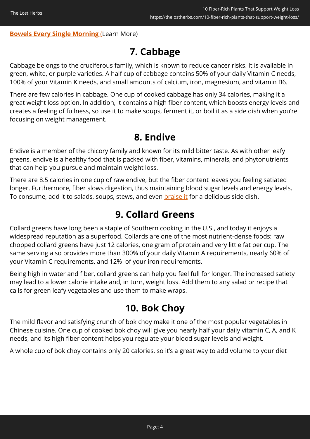#### **[Bowels Every Single Morning](https://hop.clickbank.net/?affiliate=lostherbs&vendor=peakbiome&tid=C02FiberPlantsPBB)** [\(](https://hop.clickbank.net/?affiliate=easycellar&vendor=peakbiome&tid=C02FiberPlantsPBB)Learn More)

## **7. Cabbage**

Cabbage belongs to the cruciferous family, which is known to reduce cancer risks. It is available in green, white, or purple varieties. A half cup of cabbage contains 50% of your daily Vitamin C needs, 100% of your Vitamin K needs, and small amounts of calcium, iron, magnesium, and vitamin B6.

There are few calories in cabbage. One cup of cooked cabbage has only 34 calories, making it a great weight loss option. In addition, it contains a high fiber content, which boosts energy levels and creates a feeling of fullness, so use it to make soups, ferment it, or boil it as a side dish when you're focusing on weight management.

### **8. Endive**

Endive is a member of the chicory family and known for its mild bitter taste. As with other leafy greens, endive is a healthy food that is packed with fiber, vitamins, minerals, and phytonutrients that can help you pursue and maintain weight loss.

There are 8.5 calories in one cup of raw endive, but the fiber content leaves you feeling satiated longer. Furthermore, fiber slows digestion, thus maintaining blood sugar levels and energy levels. To consume, add it to salads, soups, stews, and even [braise it](https://www.thespruceeats.com/braised-belgian-endives-2216267) for a delicious side dish.

### **9. Collard Greens**

Collard greens have long been a staple of Southern cooking in the U.S., and today it enjoys a widespread reputation as a superfood. Collards are one of the most nutrient-dense foods: raw chopped collard greens have just 12 calories, one gram of protein and very little fat per cup. The same serving also provides more than 300% of your daily Vitamin A requirements, nearly 60% of your Vitamin C requirements, and 12% of your iron requirements.

Being high in water and fiber, collard greens can help you feel full for longer. The increased satiety may lead to a lower calorie intake and, in turn, weight loss. Add them to any salad or recipe that calls for green leafy vegetables and use them to make wraps.

### **10. Bok Choy**

The mild flavor and satisfying crunch of bok choy make it one of the most popular vegetables in Chinese cuisine. One cup of cooked bok choy will give you nearly half your daily vitamin C, A, and K needs, and its high fiber content helps you regulate your blood sugar levels and weight.

A whole cup of bok choy contains only 20 calories, so it's a great way to add volume to your diet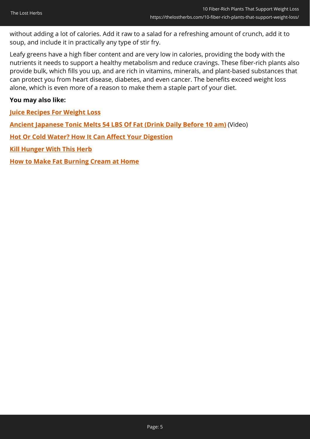without adding a lot of calories. Add it raw to a salad for a refreshing amount of crunch, add it to soup, and include it in practically any type of stir fry.

Leafy greens have a high fiber content and are very low in calories, providing the body with the nutrients it needs to support a healthy metabolism and reduce cravings. These fiber-rich plants also provide bulk, which fills you up, and are rich in vitamins, minerals, and plant-based substances that can protect you from heart disease, diabetes, and even cancer. The benefits exceed weight loss alone, which is even more of a reason to make them a staple part of your diet.

#### **You may also like:**

**[Juice Recipes For Weight Loss](https://thelostherbs.com/juice-recipes-for-weight-loss/)**

**[Ancient Japanese Tonic Melts 54 LBS Of Fat \(Drink Daily Before 10 am\)](https://hop.clickbank.net/?affiliate=lostherbs&vendor=fbtonic&tid=C02FiberPlantsFBT)** (Video)

**[Hot Or Cold Water? How It Can Affect Your Digestion](https://thelostherbs.com/hot-or-cold-water-how-it-can-affect-your-digestion/)**

**[Kill Hunger With This Herb](https://thelostherbs.com/kill-hunger-with-this-herb/)**

**[How to Make Fat Burning Cream at Home](https://thelostherbs.com/how-to-make-fat-burning-cream-at-home/)**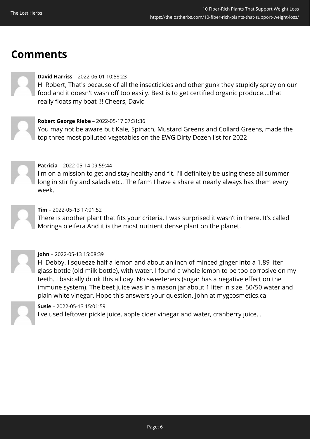## **Comments**



#### **David Harriss** – 2022-06-01 10:58:23

Hi Robert, That's because of all the insecticides and other gunk they stupidly spray on our food and it doesn't wash off too easily. Best is to get certified organic produce....that really floats my boat !!! Cheers, David



#### **Robert George Riebe** – 2022-05-17 07:31:36

You may not be aware but Kale, Spinach, Mustard Greens and Collard Greens, made the top three most polluted vegetables on the EWG Dirty Dozen list for 2022



#### **Patricia** – 2022-05-14 09:59:44

I'm on a mission to get and stay healthy and fit. I'll definitely be using these all summer long in stir fry and salads etc.. The farm I have a share at nearly always has them every week.

### **Tim** – 2022-05-13 17:01:52

There is another plant that fits your criteria. I was surprised it wasn't in there. It's called Moringa oleifera And it is the most nutrient dense plant on the planet.



#### **John** – 2022-05-13 15:08:39

Hi Debby. I squeeze half a lemon and about an inch of minced ginger into a 1.89 liter glass bottle (old milk bottle), with water. I found a whole lemon to be too corrosive on my teeth. I basically drink this all day. No sweeteners (sugar has a negative effect on the immune system). The beet juice was in a mason jar about 1 liter in size. 50/50 water and plain white vinegar. Hope this answers your question. John at mygcosmetics.ca

#### **Susie** – 2022-05-13 15:01:59

I've used leftover pickle juice, apple cider vinegar and water, cranberry juice. .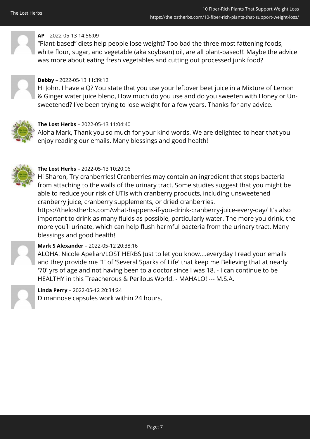

#### **AP** – 2022-05-13 14:56:09

"Plant-based" diets help people lose weight? Too bad the three most fattening foods, white flour, sugar, and vegetable (aka soybean) oil, are all plant-based!!! Maybe the advice was more about eating fresh vegetables and cutting out processed junk food?



#### **Debby** – 2022-05-13 11:39:12

Hi John, I have a Q? You state that you use your leftover beet juice in a Mixture of Lemon & Ginger water juice blend, How much do you use and do you sweeten with Honey or Unsweetened? I've been trying to lose weight for a few years. Thanks for any advice.



#### **The Lost Herbs** – 2022-05-13 11:04:40

Aloha Mark, Thank you so much for your kind words. We are delighted to hear that you enjoy reading our emails. Many blessings and good health!



#### **The Lost Herbs** – 2022-05-13 10:20:06

Hi Sharon, Try cranberries! Cranberries may contain an ingredient that stops bacteria from attaching to the walls of the urinary tract. Some studies suggest that you might be able to reduce your risk of UTIs with cranberry products, including unsweetened cranberry juice, cranberry supplements, or dried cranberries.

https://thelostherbs.com/what-happens-if-you-drink-cranberry-juice-every-day/ It's also important to drink as many fluids as possible, particularly water. The more you drink, the more you'll urinate, which can help flush harmful bacteria from the urinary tract. Many blessings and good health!



#### **Mark S Alexander** – 2022-05-12 20:38:16

ALOHA! Nicole Apelian/LOST HERBS Just to let you know....everyday I read your emails and they provide me '1' of 'Several Sparks of Life' that keep me Believing that at nearly '70' yrs of age and not having been to a doctor since I was 18, - I can continue to be HEALTHY in this Treacherous & Perilous World. - MAHALO! --- M.S.A.



**Linda Perry** – 2022-05-12 20:34:24 D mannose capsules work within 24 hours.